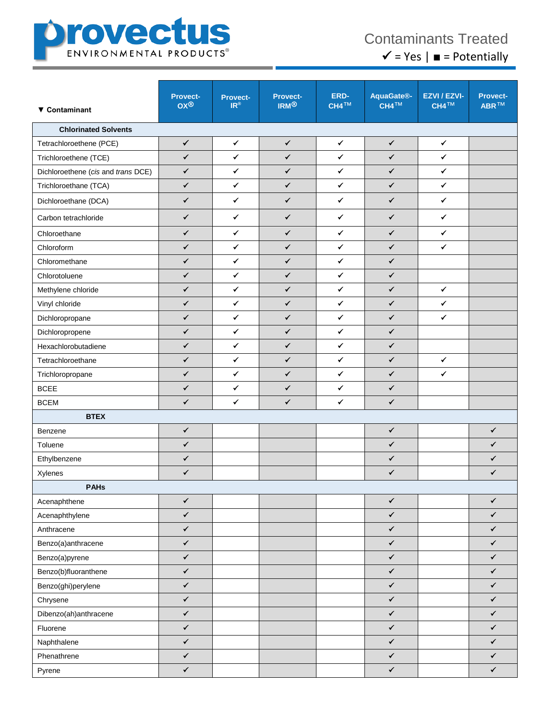

## Contaminants Treated  $\checkmark$  = Yes |  $\blacksquare$  = Potentially

| ▼ Contaminant                      | <b>Provect-</b><br><b>OX®</b> | <b>Provect-</b><br>$IR^{\circ}$ | <b>Provect-</b><br><b>IRM®</b> | ERD-<br>CH4 <sup>TM</sup> | AquaGate <sup>®</sup><br>CH4 <sup>TM</sup> | EZVI / EZVI-<br>CH4 <sup>TM</sup> | <b>Provect-</b><br>ABR <sup>TM</sup> |
|------------------------------------|-------------------------------|---------------------------------|--------------------------------|---------------------------|--------------------------------------------|-----------------------------------|--------------------------------------|
| <b>Chlorinated Solvents</b>        |                               |                                 |                                |                           |                                            |                                   |                                      |
| Tetrachloroethene (PCE)            | $\checkmark$                  | $\checkmark$                    | $\checkmark$                   | $\checkmark$              | $\checkmark$                               | $\checkmark$                      |                                      |
| Trichloroethene (TCE)              | $\checkmark$                  | $\checkmark$                    | $\checkmark$                   | $\checkmark$              | $\checkmark$                               | $\checkmark$                      |                                      |
| Dichloroethene (cis and trans DCE) | $\checkmark$                  | $\checkmark$                    | $\checkmark$                   | $\checkmark$              | $\checkmark$                               | ✓                                 |                                      |
| Trichloroethane (TCA)              | $\checkmark$                  | $\checkmark$                    | $\checkmark$                   | $\checkmark$              | $\checkmark$                               | $\checkmark$                      |                                      |
| Dichloroethane (DCA)               | $\checkmark$                  | $\checkmark$                    | ✓                              | $\checkmark$              | ✓                                          | ✓                                 |                                      |
| Carbon tetrachloride               | ✓                             | $\checkmark$                    | $\checkmark$                   | $\checkmark$              | ✓                                          | ✓                                 |                                      |
| Chloroethane                       | $\checkmark$                  | $\checkmark$                    | $\checkmark$                   | $\checkmark$              | $\checkmark$                               | $\checkmark$                      |                                      |
| Chloroform                         | ✓                             | $\checkmark$                    | $\checkmark$                   | $\checkmark$              | $\checkmark$                               | ✓                                 |                                      |
| Chloromethane                      | $\checkmark$                  | $\checkmark$                    | $\checkmark$                   | $\checkmark$              | $\checkmark$                               |                                   |                                      |
| Chlorotoluene                      | $\checkmark$                  | $\checkmark$                    | $\checkmark$                   | $\checkmark$              | $\checkmark$                               |                                   |                                      |
| Methylene chloride                 | ✓                             | ✓                               | ✓                              | ✓                         | ✓                                          | ✓                                 |                                      |
| Vinyl chloride                     | $\checkmark$                  | $\checkmark$                    | $\checkmark$                   | $\checkmark$              | $\checkmark$                               | $\checkmark$                      |                                      |
| Dichloropropane                    | $\checkmark$                  | $\checkmark$                    | $\checkmark$                   | $\checkmark$              | $\checkmark$                               | $\checkmark$                      |                                      |
| Dichloropropene                    | $\checkmark$                  | $\checkmark$                    | $\checkmark$                   | $\checkmark$              | $\checkmark$                               |                                   |                                      |
| Hexachlorobutadiene                | ✓                             | $\checkmark$                    | $\checkmark$                   | $\checkmark$              | $\checkmark$                               |                                   |                                      |
| Tetrachloroethane                  | ✓                             | $\checkmark$                    | $\checkmark$                   | $\checkmark$              | $\checkmark$                               | $\checkmark$                      |                                      |
| Trichloropropane                   | $\checkmark$                  | $\checkmark$                    | $\checkmark$                   | $\checkmark$              | $\checkmark$                               | ✓                                 |                                      |
| <b>BCEE</b>                        | $\checkmark$                  | $\checkmark$                    | $\checkmark$                   | $\checkmark$              | $\checkmark$                               |                                   |                                      |
| <b>BCEM</b>                        | $\checkmark$                  | $\checkmark$                    | $\checkmark$                   | $\checkmark$              | $\checkmark$                               |                                   |                                      |
| <b>BTEX</b>                        |                               |                                 |                                |                           |                                            |                                   |                                      |
| Benzene                            | $\checkmark$                  |                                 |                                |                           | $\checkmark$                               |                                   | $\checkmark$                         |
| Toluene                            | $\checkmark$                  |                                 |                                |                           | $\checkmark$                               |                                   | $\checkmark$                         |
| Ethylbenzene                       | $\checkmark$                  |                                 |                                |                           | ✓                                          |                                   | $\checkmark$                         |
| Xylenes                            | $\checkmark$                  |                                 |                                |                           | $\checkmark$                               |                                   | $\checkmark$                         |
| <b>PAHs</b>                        |                               |                                 |                                |                           |                                            |                                   |                                      |
| Acenaphthene                       | ✓                             |                                 |                                |                           | $\checkmark$                               |                                   | $\checkmark$                         |
| Acenaphthylene                     | $\checkmark$                  |                                 |                                |                           | $\checkmark$                               |                                   | $\checkmark$                         |
| Anthracene                         | $\checkmark$                  |                                 |                                |                           | $\checkmark$                               |                                   | $\checkmark$                         |
| Benzo(a)anthracene                 | $\checkmark$                  |                                 |                                |                           | $\checkmark$                               |                                   | $\checkmark$                         |
| Benzo(a)pyrene                     | $\checkmark$                  |                                 |                                |                           | $\checkmark$                               |                                   | $\checkmark$                         |
| Benzo(b)fluoranthene               | $\checkmark$                  |                                 |                                |                           | $\checkmark$                               |                                   | $\checkmark$                         |
| Benzo(ghi)perylene                 | $\checkmark$                  |                                 |                                |                           | $\checkmark$                               |                                   | $\checkmark$                         |
| Chrysene                           | $\checkmark$                  |                                 |                                |                           | $\checkmark$                               |                                   | $\checkmark$                         |
| Dibenzo(ah)anthracene              | $\checkmark$                  |                                 |                                |                           | $\checkmark$                               |                                   | $\checkmark$                         |
| Fluorene                           | $\checkmark$                  |                                 |                                |                           | $\checkmark$                               |                                   | ✔                                    |
| Naphthalene                        | $\checkmark$                  |                                 |                                |                           | $\checkmark$                               |                                   | $\checkmark$                         |
| Phenathrene                        | $\checkmark$                  |                                 |                                |                           | $\checkmark$                               |                                   | $\checkmark$                         |
| Pyrene                             | $\checkmark$                  |                                 |                                |                           | $\checkmark$                               |                                   | $\checkmark$                         |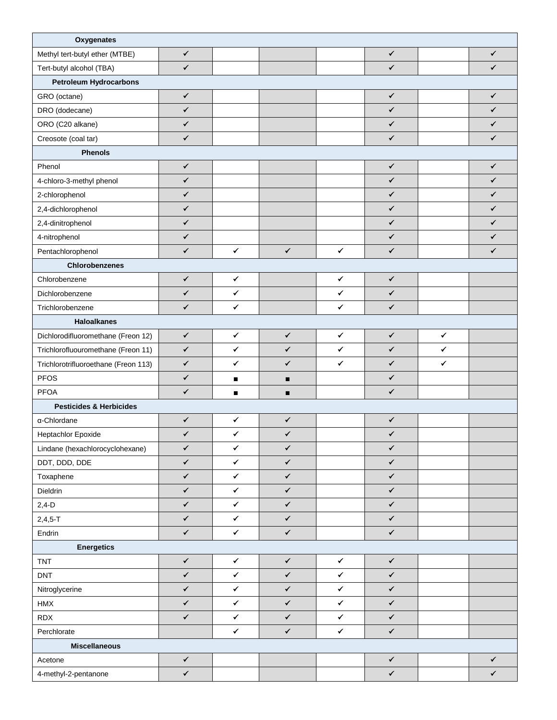| Oxygenates                           |              |                |                |              |              |              |              |  |
|--------------------------------------|--------------|----------------|----------------|--------------|--------------|--------------|--------------|--|
| Methyl tert-butyl ether (MTBE)       | $\checkmark$ |                |                |              | $\checkmark$ |              | ✓            |  |
| Tert-butyl alcohol (TBA)             | $\checkmark$ |                |                |              | $\checkmark$ |              | $\checkmark$ |  |
| <b>Petroleum Hydrocarbons</b>        |              |                |                |              |              |              |              |  |
| GRO (octane)                         | $\checkmark$ |                |                |              | $\checkmark$ |              | $\checkmark$ |  |
| DRO (dodecane)                       | $\checkmark$ |                |                |              | $\checkmark$ |              | $\checkmark$ |  |
| ORO (C20 alkane)                     | ✓            |                |                |              | $\checkmark$ |              | $\checkmark$ |  |
| Creosote (coal tar)                  | $\checkmark$ |                |                |              | $\checkmark$ |              | $\checkmark$ |  |
| <b>Phenols</b>                       |              |                |                |              |              |              |              |  |
| Phenol                               | $\checkmark$ |                |                |              | ✓            |              | $\checkmark$ |  |
| 4-chloro-3-methyl phenol             | $\checkmark$ |                |                |              | $\checkmark$ |              | $\checkmark$ |  |
| 2-chlorophenol                       | ✓            |                |                |              | $\checkmark$ |              | ✓            |  |
| 2,4-dichlorophenol                   | $\checkmark$ |                |                |              | $\checkmark$ |              | ✓            |  |
| 2,4-dinitrophenol                    | $\checkmark$ |                |                |              | ✓            |              | $\checkmark$ |  |
| 4-nitrophenol                        | $\checkmark$ |                |                |              | ✓            |              | ✓            |  |
| Pentachlorophenol                    | $\checkmark$ | $\checkmark$   | $\checkmark$   | $\checkmark$ | $\checkmark$ |              | ✓            |  |
| Chlorobenzenes                       |              |                |                |              |              |              |              |  |
| Chlorobenzene                        | $\checkmark$ | $\checkmark$   |                | $\checkmark$ | $\checkmark$ |              |              |  |
| Dichlorobenzene                      | $\checkmark$ | $\checkmark$   |                | ✓            | $\checkmark$ |              |              |  |
| Trichlorobenzene                     | $\checkmark$ | $\checkmark$   |                | $\checkmark$ | $\checkmark$ |              |              |  |
| <b>Haloalkanes</b>                   |              |                |                |              |              |              |              |  |
| Dichlorodifluoromethane (Freon 12)   | $\checkmark$ | ✓              | $\checkmark$   | ✓            | ✓            | ✓            |              |  |
| Trichlorofluouromethane (Freon 11)   | $\checkmark$ | $\checkmark$   | $\checkmark$   | $\checkmark$ | $\checkmark$ | $\checkmark$ |              |  |
| Trichlorotrifluoroethane (Freon 113) | $\checkmark$ | $\checkmark$   | $\checkmark$   | $\checkmark$ | $\checkmark$ | $\checkmark$ |              |  |
| <b>PFOS</b>                          | $\checkmark$ | $\blacksquare$ | $\blacksquare$ |              | ✓            |              |              |  |
| <b>PFOA</b>                          | $\checkmark$ | $\blacksquare$ | п              |              | $\checkmark$ |              |              |  |
| <b>Pesticides &amp; Herbicides</b>   |              |                |                |              |              |              |              |  |
| α-Chlordane                          | $\checkmark$ | ✔              | $\checkmark$   |              | ✓            |              |              |  |
| Heptachlor Epoxide                   | $\checkmark$ | ✓              | $\checkmark$   |              | ✓            |              |              |  |
| Lindane (hexachlorocyclohexane)      | $\checkmark$ | $\checkmark$   | $\checkmark$   |              | $\checkmark$ |              |              |  |
| DDT, DDD, DDE                        | $\checkmark$ | $\checkmark$   | $\checkmark$   |              | $\checkmark$ |              |              |  |
| Toxaphene                            | $\checkmark$ | $\checkmark$   | $\checkmark$   |              | $\checkmark$ |              |              |  |
| Dieldrin                             | $\checkmark$ | $\checkmark$   | $\checkmark$   |              | $\checkmark$ |              |              |  |
| $2,4-D$                              | $\checkmark$ | $\checkmark$   | $\checkmark$   |              | $\checkmark$ |              |              |  |
| $2,4,5 - T$                          | $\checkmark$ | $\checkmark$   | $\checkmark$   |              | $\checkmark$ |              |              |  |
| Endrin                               | $\checkmark$ | $\checkmark$   | $\checkmark$   |              | $\checkmark$ |              |              |  |
| <b>Energetics</b>                    |              |                |                |              |              |              |              |  |
| TNT                                  | $\checkmark$ | $\checkmark$   | $\checkmark$   | $\checkmark$ | $\checkmark$ |              |              |  |
| <b>DNT</b>                           | $\checkmark$ | $\checkmark$   | $\checkmark$   | $\checkmark$ | $\checkmark$ |              |              |  |
| Nitroglycerine                       | $\checkmark$ | $\checkmark$   | $\checkmark$   | $\checkmark$ | $\checkmark$ |              |              |  |
| HMX                                  | $\checkmark$ | $\checkmark$   | $\checkmark$   | $\checkmark$ | $\checkmark$ |              |              |  |
| <b>RDX</b>                           | $\checkmark$ | $\checkmark$   | $\checkmark$   | $\checkmark$ | $\checkmark$ |              |              |  |
| Perchlorate                          |              | $\checkmark$   | $\checkmark$   | $\checkmark$ | $\checkmark$ |              |              |  |
| <b>Miscellaneous</b>                 |              |                |                |              |              |              |              |  |
| Acetone                              | $\checkmark$ |                |                |              | $\checkmark$ |              | $\checkmark$ |  |
| 4-methyl-2-pentanone                 | $\checkmark$ |                |                |              | $\checkmark$ |              | $\checkmark$ |  |